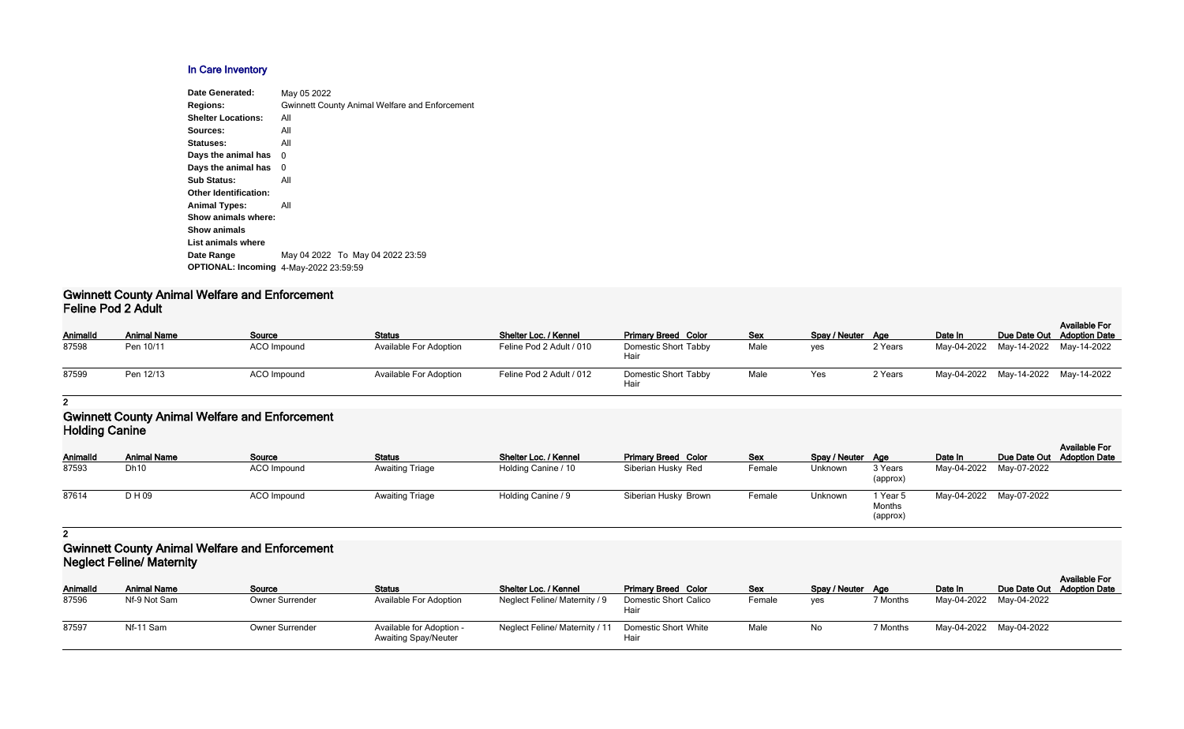## **In Care Inventory**

| May 05 2022                                           |
|-------------------------------------------------------|
| <b>Gwinnett County Animal Welfare and Enforcement</b> |
| All                                                   |
| All                                                   |
| All                                                   |
| 0                                                     |
| 0                                                     |
| All                                                   |
|                                                       |
| All                                                   |
|                                                       |
|                                                       |
|                                                       |
| May 04 2022 To May 04 2022 23:59                      |
| <b>OPTIONAL: Incoming 4-May-2022 23:59:59</b>         |
|                                                       |

## **Gwinnett County Animal Welfare and Enforcement Feline Pod 2 Adult**

| AnimalId | <b>Animal Name</b> | Source             | <b>Status</b>                 | Shelter Loc. / Kennel    | <b>Primary Breed Color</b>   | <b>Sex</b> | Spay / Neuter Age |         | Date In |                                     | <b>Available For</b><br>Due Date Out Adoption Date |  |  |
|----------|--------------------|--------------------|-------------------------------|--------------------------|------------------------------|------------|-------------------|---------|---------|-------------------------------------|----------------------------------------------------|--|--|
| 87598    | Pen 10/11          | <b>ACO Impound</b> | <b>Available For Adoption</b> | Feline Pod 2 Adult / 010 | Domestic Short Tabby<br>Hair | Male       | ves               | 2 Years |         | May-04-2022 May-14-2022 May-14-2022 |                                                    |  |  |
| 87599    | Pen 12/13          | ACO Impound        | Available For Adoption        | Feline Pod 2 Adult / 012 | Domestic Short Tabby<br>Hair | Male       | Yes               | 2 Years |         | May-04-2022 May-14-2022 May-14-2022 |                                                    |  |  |

# **2**

## **Gwinnett County Animal Welfare and Enforcement Holding Canine**

| AnimalId | <b>Animal Name</b> | Source      | <b>Status</b>          | Shelter Loc. / Kennel | <b>Primary Breed Color</b> | <u>Sex</u> | Spay / Neuter Age |                                           | Date In                 | Due Date Out Adoption Date | <b>Available For</b> |
|----------|--------------------|-------------|------------------------|-----------------------|----------------------------|------------|-------------------|-------------------------------------------|-------------------------|----------------------------|----------------------|
| 87593    | Dh10               | ACO Impound | <b>Awaiting Triage</b> | Holding Canine / 10   | Siberian Husky Red         | Female     | Unknown           | 3 Years<br>(approx)                       | May-04-2022 May-07-2022 |                            |                      |
| 87614    | D H 09             | ACO Impound | <b>Awaiting Triage</b> | Holding Canine / 9    | Siberian Husky Brown       | Female     | Unknown           | <sup>1</sup> Year 5<br>Months<br>(approx) | May-04-2022 May-07-2022 |                            |                      |

**2**

# **Gwinnett County Animal Welfare and Enforcement Neglect Feline/ Maternity**

| Animalld | <b>Animal Name</b> | Source                 | <b>Status</b>                                           | Shelter Loc. / Kennel          | <b>Primary Breed Color</b>           | <b>Sex</b> | Spay / Neuter Age |          | Date In                 | <b>Available For</b><br>Due Date Out Adoption Date |
|----------|--------------------|------------------------|---------------------------------------------------------|--------------------------------|--------------------------------------|------------|-------------------|----------|-------------------------|----------------------------------------------------|
| 87596    | Nf-9 Not Sam       | <b>Owner Surrender</b> | <b>Available For Adoption</b>                           | Neglect Feline/ Maternity / 9  | <b>Domestic Short Calico</b><br>Hair | Female     | ves               | 7 Months | May-04-2022 May-04-2022 |                                                    |
| 87597    | Nf-11 Sam          | <b>Owner Surrender</b> | Available for Adoption -<br><b>Awaiting Spay/Neuter</b> | Neglect Feline/ Maternity / 11 | Domestic Short White<br>Hair         | Male       | No                | 7 Months | May-04-2022 May-04-2022 |                                                    |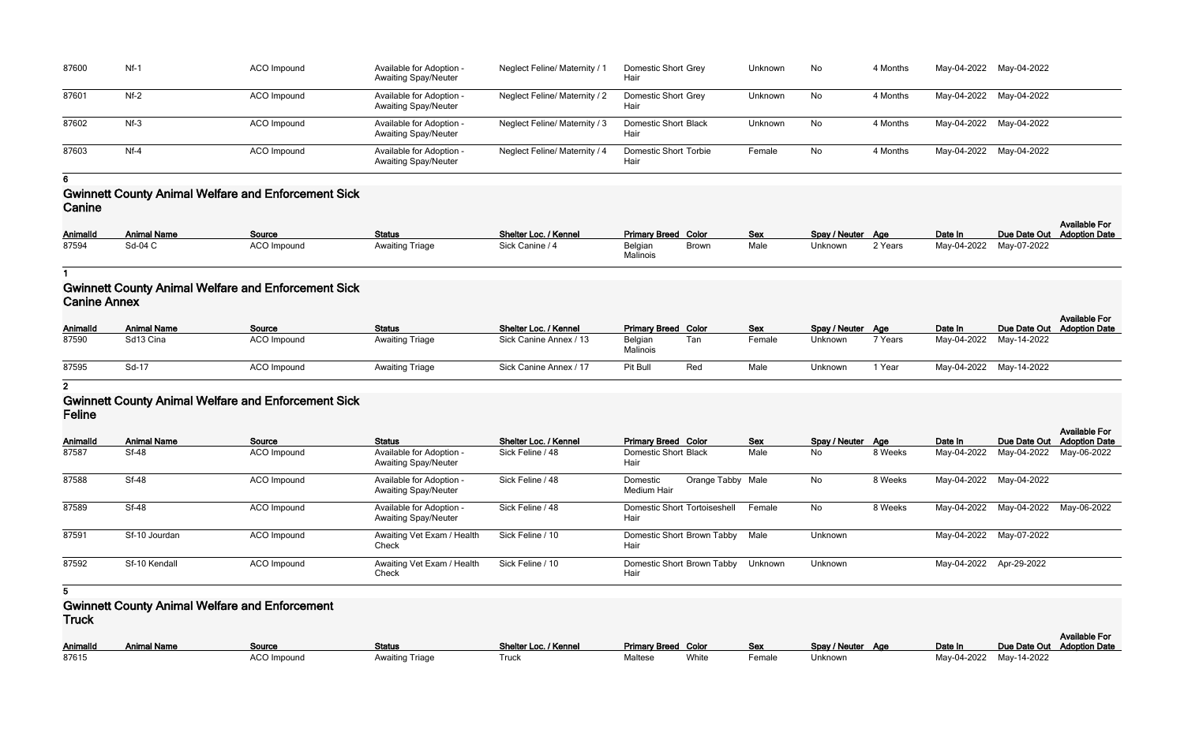| 87600 | $Nf-1$ | ACO Impound | Available for Adoption -<br><b>Awaiting Spay/Neuter</b> | Neglect Feline/ Maternity /   | <b>Domestic Short Grey</b><br>Hair   | Unknown | No | 4 Months | May-04-2022 May-04-2022 |  |
|-------|--------|-------------|---------------------------------------------------------|-------------------------------|--------------------------------------|---------|----|----------|-------------------------|--|
| 87601 | $Nf-2$ | ACO Impound | Available for Adoption -<br><b>Awaiting Spay/Neuter</b> | Neglect Feline/ Maternity / 2 | <b>Domestic Short Grey</b><br>Hair   | Unknown | No | 4 Months | May-04-2022 May-04-2022 |  |
| 87602 | $Nf-3$ | ACO Impound | Available for Adoption -<br><b>Awaiting Spay/Neuter</b> | Neglect Feline/ Maternity / 3 | <b>Domestic Short Black</b><br>Hair  | Unknown | No | 4 Months | May-04-2022 May-04-2022 |  |
| 87603 | $Nf-4$ | ACO Impound | Available for Adoption -<br><b>Awaiting Spay/Neuter</b> | Neglect Feline/ Maternity / 4 | <b>Domestic Short Torbie</b><br>Hair | Female  | No | 4 Months | May-04-2022 May-04-2022 |  |

**6**

# **Gwinnett County Animal Welfare and Enforcement Sick Canine**

**AnimalId Animal Name Source Status Shelter Loc. / Kennel Primary Breed Color Sex Spay / Neuter Age Date In Due Date Out** 87587 Sf-48 Sf-48 ACO Impound Available for Adoption -Awaiting Spay/Neuter Sick Feline / 48 Domestic Short Black Hair 87588 Sf-48 ACO Impound Available for Adoption -Awaiting Spay/Neuter Sick Feline / 48 Domestic Medium Hair Orange Tabby Male 87589 Sf-48 ACO Impound Available for Adoption -Awaiting Spay/Neuter Sick Feline / 48 **Hair Domestic Short Tortoiseshell Female** 87591 Sf-10 Jourdan ACO Impound Awaiting Vet Exam / Health Check Sick Feline / 10 Hair **Domestic Short Brown Tabby Male** 87592 Sf-10 Kendall **ACO Impound** Accord Awaiting Vet Exam / Health Check Sick Feline / 10 Hair **Domestic Short Brown Tabby Unknow** 

| <b>AnimalId</b> | <b>Animal Name</b> | <b>Source</b>      | <b>Status</b>          | Shelter Loc. / Kennel | <b>Primary Breed Color</b> |              | <b>Sex</b> | Spay / Neuter Age |         | Date In                 | Due Date Out Adoption Date | <b>Available For</b> |
|-----------------|--------------------|--------------------|------------------------|-----------------------|----------------------------|--------------|------------|-------------------|---------|-------------------------|----------------------------|----------------------|
| 87594           | Sd-04 C            | <b>ACO Impound</b> | <b>Awaiting Triage</b> | Sick Canine / 4       | Belgian<br>Malinois        | <b>Brown</b> | Male       | Unknown           | 2 Years | May-04-2022 May-07-2022 |                            |                      |

#### **1**

# **Gwinnett County Animal Welfare and Enforcement Sick Canine Annex**

| AnimalId | <b>Animal Name</b> | Source      | <b>Status</b>          | Shelter Loc. / Kennel  | <b>Primary Breed Color</b> |     | Sex    | Spay / Neuter Age |         | Date In |                         | <b>Available For</b><br>Due Date Out Adoption Date |
|----------|--------------------|-------------|------------------------|------------------------|----------------------------|-----|--------|-------------------|---------|---------|-------------------------|----------------------------------------------------|
| 87590    | Sd13 Cina          | ACO Impound | <b>Awaiting Triage</b> | Sick Canine Annex / 13 | Belgian<br>Malinois        | Tan | Female | Unknown           | 7 Years |         | May-04-2022 May-14-2022 |                                                    |
| 87595    | Sd-17              | ACO Impound | <b>Awaiting Triage</b> | Sick Canine Annex / 17 | Pit Bull                   | Red | Male   | Unknown           | 1 Year  |         | May-04-2022 May-14-2022 |                                                    |

**2**

## **Gwinnett County Animal Welfare and Enforcement Sick Feline**

| Color              | <b>Sex</b> | Spay / Neuter | Age     | Date In     | Due Date Out | <b>Available For</b><br><b>Adoption Date</b> |
|--------------------|------------|---------------|---------|-------------|--------------|----------------------------------------------|
| <b>Black</b>       | Male       | No.           | 8 Weeks | May-04-2022 | May-04-2022  | May-06-2022                                  |
| Orange Tabby       | Male       | No.           | 8 Weeks | May-04-2022 | May-04-2022  |                                              |
| Tortoiseshell      | Female     | No.           | 8 Weeks | May-04-2022 | May-04-2022  | May-06-2022                                  |
| <b>Brown Tabby</b> | Male       | Unknown       |         | May-04-2022 | May-07-2022  |                                              |
| Brown Tabby        | Unknown    | Unknown       |         | May-04-2022 | Apr-29-2022  |                                              |

**5**

## **Gwinnett County Animal Welfare and Enforcement Truck**

|          |                    |             |                        |                       |                            |       |            |                   |                         |                            | <b>Available For</b> |
|----------|--------------------|-------------|------------------------|-----------------------|----------------------------|-------|------------|-------------------|-------------------------|----------------------------|----------------------|
| Animalld | <b>Animal Name</b> | Source      | <b>Status</b>          | Shelter Loc. / Kennel | <b>Primary Breed Color</b> |       | <u>Sex</u> | Spay / Neuter Age | Date In                 | Due Date Out Adoption Date |                      |
| 87615    |                    | ACO Impound | <b>Awaiting Triage</b> | <b>Truck</b>          | Maltese                    | White | Female     | Unknown           | May-04-2022 May-14-2022 |                            |                      |